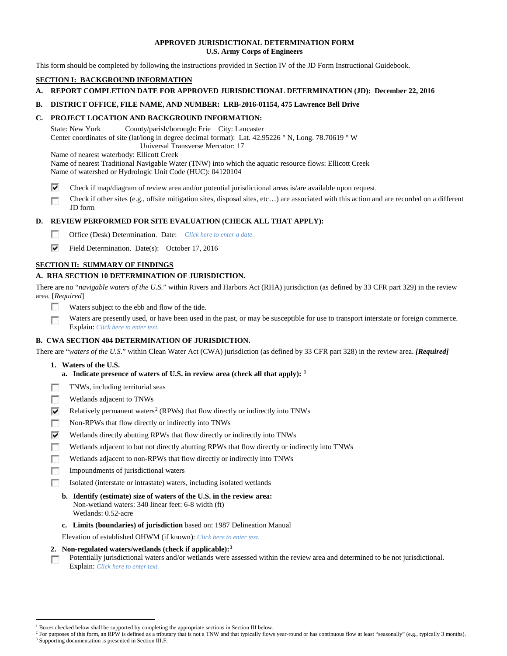## **APPROVED JURISDICTIONAL DETERMINATION FORM U.S. Army Corps of Engineers**

This form should be completed by following the instructions provided in Section IV of the JD Form Instructional Guidebook.

## **SECTION I: BACKGROUND INFORMATION**

## **A. REPORT COMPLETION DATE FOR APPROVED JURISDICTIONAL DETERMINATION (JD): December 22, 2016**

## **B. DISTRICT OFFICE, FILE NAME, AND NUMBER: LRB-2016-01154, 475 Lawrence Bell Drive**

## **C. PROJECT LOCATION AND BACKGROUND INFORMATION:**

State: New York County/parish/borough: Erie City: Lancaster Center coordinates of site (lat/long in degree decimal format): Lat. 42.95226 ° N, Long. 78.70619 ° W Universal Transverse Mercator: 17

Name of nearest waterbody: Ellicott Creek

- Name of nearest Traditional Navigable Water (TNW) into which the aquatic resource flows: Ellicott Creek Name of watershed or Hydrologic Unit Code (HUC): 04120104
- ⊽ Check if map/diagram of review area and/or potential jurisdictional areas is/are available upon request.
- Check if other sites (e.g., offsite mitigation sites, disposal sites, etc…) are associated with this action and are recorded on a different г JD form

# **D. REVIEW PERFORMED FOR SITE EVALUATION (CHECK ALL THAT APPLY):**

- $\sim$ Office (Desk) Determination. Date: *Click here to enter a date.*
- ⊽ Field Determination. Date(s): October 17, 2016

# **SECTION II: SUMMARY OF FINDINGS**

# **A. RHA SECTION 10 DETERMINATION OF JURISDICTION.**

There are no "*navigable waters of the U.S.*" within Rivers and Harbors Act (RHA) jurisdiction (as defined by 33 CFR part 329) in the review area. [*Required*]

- п Waters subject to the ebb and flow of the tide.
- Waters are presently used, or have been used in the past, or may be susceptible for use to transport interstate or foreign commerce. п Explain: *Click here to enter text.*

# **B. CWA SECTION 404 DETERMINATION OF JURISDICTION.**

There are "*waters of the U.S.*" within Clean Water Act (CWA) jurisdiction (as defined by 33 CFR part 328) in the review area. *[Required]*

- **1. Waters of the U.S.**
	- **a. Indicate presence of waters of U.S. in review area (check all that apply): [1](#page-0-0)**
- 同 TNWs, including territorial seas
- T. Wetlands adjacent to TNWs
- ⊽ Relatively permanent waters<sup>[2](#page-0-1)</sup> (RPWs) that flow directly or indirectly into TNWs
- п Non-RPWs that flow directly or indirectly into TNWs
- ⊽ Wetlands directly abutting RPWs that flow directly or indirectly into TNWs
- Wetlands adjacent to but not directly abutting RPWs that flow directly or indirectly into TNWs n
- г Wetlands adjacent to non-RPWs that flow directly or indirectly into TNWs
- n. Impoundments of jurisdictional waters
- Isolated (interstate or intrastate) waters, including isolated wetlands п
	- **b. Identify (estimate) size of waters of the U.S. in the review area:** Non-wetland waters: 340 linear feet: 6-8 width (ft) Wetlands: 0.52-acre
	- **c. Limits (boundaries) of jurisdiction** based on: 1987 Delineation Manual

Elevation of established OHWM (if known): *Click here to enter text.*

- **2. Non-regulated waters/wetlands (check if applicable):[3](#page-0-2)**
- Potentially jurisdictional waters and/or wetlands were assessed within the review area and determined to be not jurisdictional. п Explain: *Click here to enter text.*

<sup>&</sup>lt;sup>1</sup> Boxes checked below shall be supported by completing the appropriate sections in Section III below.

<span id="page-0-2"></span><span id="page-0-1"></span><span id="page-0-0"></span>For purposes of this form, an RPW is defined as a tributary that is not a TNW and that typically flows year-round or has continuous flow at least "seasonally" (e.g., typically 3 months). <sup>3</sup> Supporting documentation is presented in Section III.F.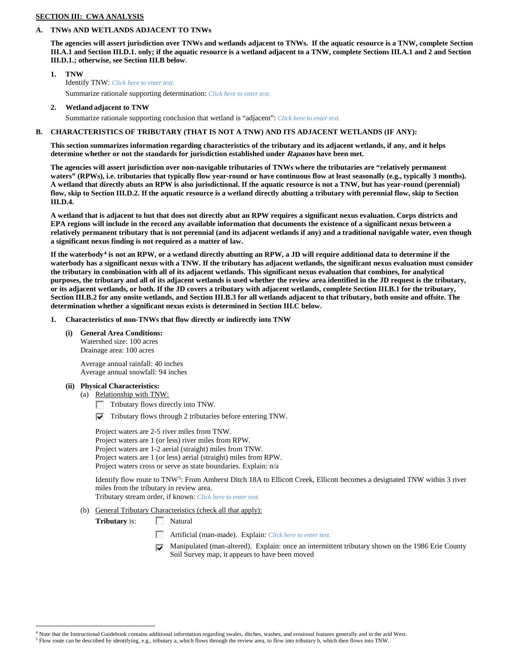## **SECTION III: CWA ANALYSIS**

## **A. TNWs AND WETLANDS ADJACENT TO TNWs**

**The agencies will assert jurisdiction over TNWs and wetlands adjacent to TNWs. If the aquatic resource is a TNW, complete Section III.A.1 and Section III.D.1. only; if the aquatic resource is a wetland adjacent to a TNW, complete Sections III.A.1 and 2 and Section III.D.1.; otherwise, see Section III.B below**.

- **1. TNW**  Identify TNW: *Click here to enter text.* Summarize rationale supporting determination: *Click here to enter text.*
- **2. Wetland adjacent to TNW**

Summarize rationale supporting conclusion that wetland is "adjacent": *Click here to enter text.*

## **B. CHARACTERISTICS OF TRIBUTARY (THAT IS NOT A TNW) AND ITS ADJACENT WETLANDS (IF ANY):**

**This section summarizes information regarding characteristics of the tributary and its adjacent wetlands, if any, and it helps determine whether or not the standards for jurisdiction established under Rapanos have been met.** 

**The agencies will assert jurisdiction over non-navigable tributaries of TNWs where the tributaries are "relatively permanent waters" (RPWs), i.e. tributaries that typically flow year-round or have continuous flow at least seasonally (e.g., typically 3 months). A wetland that directly abuts an RPW is also jurisdictional. If the aquatic resource is not a TNW, but has year-round (perennial) flow, skip to Section III.D.2. If the aquatic resource is a wetland directly abutting a tributary with perennial flow, skip to Section III.D.4.**

**A wetland that is adjacent to but that does not directly abut an RPW requires a significant nexus evaluation. Corps districts and EPA regions will include in the record any available information that documents the existence of a significant nexus between a relatively permanent tributary that is not perennial (and its adjacent wetlands if any) and a traditional navigable water, even though a significant nexus finding is not required as a matter of law.**

**If the waterbody[4](#page-1-0) is not an RPW, or a wetland directly abutting an RPW, a JD will require additional data to determine if the waterbody has a significant nexus with a TNW. If the tributary has adjacent wetlands, the significant nexus evaluation must consider the tributary in combination with all of its adjacent wetlands. This significant nexus evaluation that combines, for analytical purposes, the tributary and all of its adjacent wetlands is used whether the review area identified in the JD request is the tributary, or its adjacent wetlands, or both. If the JD covers a tributary with adjacent wetlands, complete Section III.B.1 for the tributary, Section III.B.2 for any onsite wetlands, and Section III.B.3 for all wetlands adjacent to that tributary, both onsite and offsite. The determination whether a significant nexus exists is determined in Section III.C below.**

- **1. Characteristics of non-TNWs that flow directly or indirectly into TNW**
	- **(i) General Area Conditions:**

Watershed size: 100 acres Drainage area: 100 acres

Average annual rainfall: 40 inches Average annual snowfall: 94 inches

**(ii) Physical Characteristics:**

(a) Relationship with TNW:

- Tributary flows directly into TNW.
- $\triangledown$  Tributary flows through 2 tributaries before entering TNW.

Project waters are 2-5 river miles from TNW. Project waters are 1 (or less) river miles from RPW. Project waters are 1-2 aerial (straight) miles from TNW. Project waters are 1 (or less) aerial (straight) miles from RPW. Project waters cross or serve as state boundaries. Explain: n/a

Identify flow route to TNW[5:](#page-1-1) From Amherst Ditch 18A to Ellicott Creek, Ellicott becomes a designated TNW within 3 river miles from the tributary in review area.

Tributary stream order, if known: *Click here to enter text.*

(b) General Tributary Characteristics (check all that apply):

**Tributary** is: Natural

- n Artificial (man-made). Explain: *Click here to enter text.*
- Manipulated (man-altered). Explain: once an intermittent tributary shown on the 1986 Erie County ⊽ Soil Survey map, it appears to have been moved

<span id="page-1-1"></span><span id="page-1-0"></span> <sup>4</sup> Note that the Instructional Guidebook contains additional information regarding swales, ditches, washes, and erosional features generally and in the arid West.

<sup>5</sup> Flow route can be described by identifying, e.g., tributary a, which flows through the review area, to flow into tributary b, which then flows into TNW.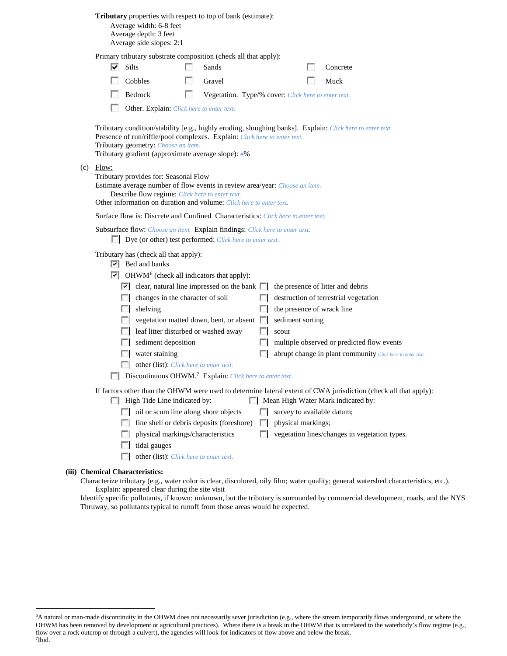| <b>Tributary</b> properties with respect to top of bank (estimate): |  |  |  |  |  |  |
|---------------------------------------------------------------------|--|--|--|--|--|--|
|---------------------------------------------------------------------|--|--|--|--|--|--|

Average width: 6-8 feet Average depth: 3 feet Average side slopes: 2:1

|             |                                                                                                                                                                                                                                                               | Primary tributary substrate composition (check all that apply):                                                                                                                                                                                                              |              |                                                         |                                                                                                                                                                                        |
|-------------|---------------------------------------------------------------------------------------------------------------------------------------------------------------------------------------------------------------------------------------------------------------|------------------------------------------------------------------------------------------------------------------------------------------------------------------------------------------------------------------------------------------------------------------------------|--------------|---------------------------------------------------------|----------------------------------------------------------------------------------------------------------------------------------------------------------------------------------------|
| ⊽<br>Silts  |                                                                                                                                                                                                                                                               | Sands                                                                                                                                                                                                                                                                        |              |                                                         | Concrete                                                                                                                                                                               |
|             | Cobbles                                                                                                                                                                                                                                                       | Gravel                                                                                                                                                                                                                                                                       |              |                                                         | Muck                                                                                                                                                                                   |
|             | Bedrock                                                                                                                                                                                                                                                       | Vegetation. Type/% cover: Click here to enter text.                                                                                                                                                                                                                          |              |                                                         |                                                                                                                                                                                        |
|             | Other. Explain: Click here to enter text.                                                                                                                                                                                                                     |                                                                                                                                                                                                                                                                              |              |                                                         |                                                                                                                                                                                        |
|             | Tributary geometry: Choose an item.                                                                                                                                                                                                                           | Presence of run/riffle/pool complexes. Explain: Click here to enter text.<br>Tributary gradient (approximate average slope): #%                                                                                                                                              |              |                                                         | Tributary condition/stability [e.g., highly eroding, sloughing banks]. Explain: Click here to enter text.                                                                              |
| $(c)$ Flow: | Tributary provides for: Seasonal Flow<br>Describe flow regime: Click here to enter text.                                                                                                                                                                      | Estimate average number of flow events in review area/year: Choose an item.<br>Other information on duration and volume: Click here to enter text.                                                                                                                           |              |                                                         |                                                                                                                                                                                        |
|             |                                                                                                                                                                                                                                                               | Surface flow is: Discrete and Confined Characteristics: Click here to enter text.                                                                                                                                                                                            |              |                                                         |                                                                                                                                                                                        |
|             |                                                                                                                                                                                                                                                               | Subsurface flow: Choose an item. Explain findings: Click here to enter text.<br>Dye (or other) test performed: Click here to enter text.                                                                                                                                     |              |                                                         |                                                                                                                                                                                        |
| $\sim$      | Tributary has (check all that apply):<br>$\overline{\triangledown}$ Bed and banks<br>changes in the character of soil<br>shelving<br>leaf litter disturbed or washed away<br>sediment deposition<br>water staining<br>other (list): Click here to enter text. | $\triangleright$ OHWM <sup>6</sup> (check all indicators that apply):<br>$\vert \cdot \vert$ clear, natural line impressed on the bank $\vert \cdot \vert$<br>vegetation matted down, bent, or absent<br>Discontinuous OHWM. <sup>7</sup> Explain: Click here to enter text. |              | the presence of wrack line<br>sediment sorting<br>scour | the presence of litter and debris<br>destruction of terrestrial vegetation<br>multiple observed or predicted flow events<br>abrupt change in plant community Click here to enter text. |
|             | High Tide Line indicated by:<br>oil or scum line along shore objects                                                                                                                                                                                          | fine shell or debris deposits (foreshore)                                                                                                                                                                                                                                    | $\mathbf{L}$ | survey to available datum;<br>physical markings;        | If factors other than the OHWM were used to determine lateral extent of CWA jurisdiction (check all that apply):<br>Mean High Water Mark indicated by:                                 |
|             | physical markings/characteristics                                                                                                                                                                                                                             |                                                                                                                                                                                                                                                                              |              |                                                         | vegetation lines/changes in vegetation types.                                                                                                                                          |

- tidal gauges
- other (list): *Click here to enter text.*

## **(iii) Chemical Characteristics:**

Characterize tributary (e.g., water color is clear, discolored, oily film; water quality; general watershed characteristics, etc.). Explain: appeared clear during the site visit

Identify specific pollutants, if known: unknown, but the tributary is surrounded by commercial development, roads, and the NYS Thruway, so pollutants typical to runoff from those areas would be expected.

<span id="page-2-1"></span><span id="page-2-0"></span> <sup>6</sup> <sup>6</sup>A natural or man-made discontinuity in the OHWM does not necessarily sever jurisdiction (e.g., where the stream temporarily flows underground, or where the OHWM has been removed by development or agricultural practices). Where there is a break in the OHWM that is unrelated to the waterbody's flow regime (e.g., flow over a rock outcrop or through a culvert), the agencies will look for indicators of flow above and below the break. 7 Ibid.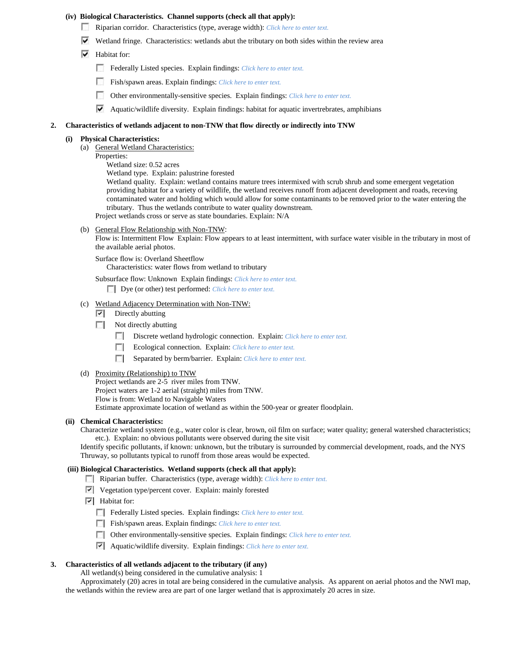#### **(iv) Biological Characteristics. Channel supports (check all that apply):**

- Riparian corridor. Characteristics (type, average width): *Click here to enter text.*
- $\blacktriangledown$  Wetland fringe. Characteristics: wetlands abut the tributary on both sides within the review area
- $\blacktriangleright$  Habitat for:
	- Federally Listed species. Explain findings: *Click here to enter text*.
	- Fish/spawn areas. Explain findings: *Click here to enter text.*
	- $\sim$ Other environmentally-sensitive species. Explain findings: *Click here to enter text.*
	- $\blacktriangleright$  Aquatic/wildlife diversity. Explain findings: habitat for aquatic invertrebrates, amphibians

#### **2. Characteristics of wetlands adjacent to non-TNW that flow directly or indirectly into TNW**

#### **(i) Physical Characteristics:**

- (a) General Wetland Characteristics:
	- Properties:
		- Wetland size: 0.52 acres

Wetland type. Explain: palustrine forested

Wetland quality. Explain: wetland contains mature trees intermixed with scrub shrub and some emergent vegetation providing habitat for a variety of wildlife, the wetland receives runoff from adjacent development and roads, receving contaminated water and holding which would allow for some contaminants to be removed prior to the water entering the tributary. Thus the wetlands contribute to water quality downstream.

- Project wetlands cross or serve as state boundaries. Explain: N/A
- (b) General Flow Relationship with Non-TNW:

Flow is: Intermittent Flow Explain: Flow appears to at least intermittent, with surface water visible in the tributary in most of the available aerial photos.

Surface flow is: Overland Sheetflow

Characteristics: water flows from wetland to tributary

Subsurface flow: Unknown Explain findings: *Click here to enter text.*

Dye (or other) test performed: *Click here to enter text.*

- (c) Wetland Adjacency Determination with Non-TNW:
	- $\triangledown$  Directly abutting
	- $\mathcal{L}$ Not directly abutting
		- Discrete wetland hydrologic connection. Explain: *Click here to enter text.*
		- E. Ecological connection. Explain: *Click here to enter text.*
		- Separated by berm/barrier. Explain: *Click here to enter text.*
- (d) Proximity (Relationship) to TNW

Project wetlands are 2-5 river miles from TNW.

Project waters are 1-2 aerial (straight) miles from TNW.

Flow is from: Wetland to Navigable Waters

Estimate approximate location of wetland as within the 500-year or greater floodplain.

#### **(ii) Chemical Characteristics:**

Characterize wetland system (e.g., water color is clear, brown, oil film on surface; water quality; general watershed characteristics; etc.). Explain: no obvious pollutants were observed during the site visit

Identify specific pollutants, if known: unknown, but the tributary is surrounded by commercial development, roads, and the NYS Thruway, so pollutants typical to runoff from those areas would be expected.

## **(iii) Biological Characteristics. Wetland supports (check all that apply):**

- Riparian buffer. Characteristics (type, average width): *Click here to enter text.*
- Vegetation type/percent cover. Explain: mainly forested
- $\overline{\triangledown}$  Habitat for:
	- Federally Listed species. Explain findings: *Click here to enter text*.
	- Fish/spawn areas. Explain findings: *Click here to enter text*.
	- Other environmentally-sensitive species. Explain findings: *Click here to enter text.*
	- Aquatic/wildlife diversity. Explain findings: *Click here to enter text.*

## **3. Characteristics of all wetlands adjacent to the tributary (if any)**

All wetland(s) being considered in the cumulative analysis: 1

Approximately (20) acres in total are being considered in the cumulative analysis. As apparent on aerial photos and the NWI map, the wetlands within the review area are part of one larger wetland that is approximately 20 acres in size.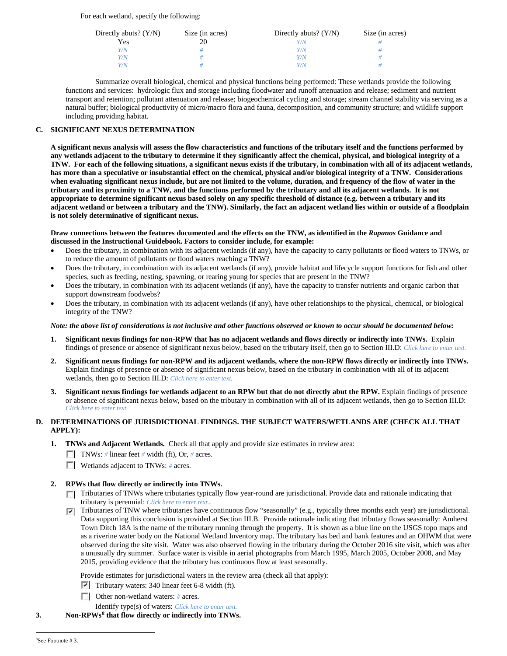For each wetland, specify the following:

| Directly abuts? $(Y/N)$ | Size (in acres) | Directly abuts? $(Y/N)$ | Size (in acres) |
|-------------------------|-----------------|-------------------------|-----------------|
| Yes                     |                 |                         |                 |
| Y/N                     |                 | Y / N                   |                 |
| Y/N                     |                 | Y / N                   |                 |
| $V/\mathcal{N}$         |                 |                         |                 |

Summarize overall biological, chemical and physical functions being performed: These wetlands provide the following functions and services: hydrologic flux and storage including floodwater and runoff attenuation and release; sediment and nutrient transport and retention; pollutant attenuation and release; biogeochemical cycling and storage; stream channel stability via serving as a natural buffer; biological productivity of micro/macro flora and fauna, decomposition, and community structure; and wildlife support including providing habitat.

## **C. SIGNIFICANT NEXUS DETERMINATION**

**A significant nexus analysis will assess the flow characteristics and functions of the tributary itself and the functions performed by any wetlands adjacent to the tributary to determine if they significantly affect the chemical, physical, and biological integrity of a TNW. For each of the following situations, a significant nexus exists if the tributary, in combination with all of its adjacent wetlands, has more than a speculative or insubstantial effect on the chemical, physical and/or biological integrity of a TNW. Considerations when evaluating significant nexus include, but are not limited to the volume, duration, and frequency of the flow of water in the tributary and its proximity to a TNW, and the functions performed by the tributary and all its adjacent wetlands. It is not appropriate to determine significant nexus based solely on any specific threshold of distance (e.g. between a tributary and its adjacent wetland or between a tributary and the TNW). Similarly, the fact an adjacent wetland lies within or outside of a floodplain is not solely determinative of significant nexus.** 

### **Draw connections between the features documented and the effects on the TNW, as identified in the** *Rapanos* **Guidance and discussed in the Instructional Guidebook. Factors to consider include, for example:**

- Does the tributary, in combination with its adjacent wetlands (if any), have the capacity to carry pollutants or flood waters to TNWs, or to reduce the amount of pollutants or flood waters reaching a TNW?
- Does the tributary, in combination with its adjacent wetlands (if any), provide habitat and lifecycle support functions for fish and other species, such as feeding, nesting, spawning, or rearing young for species that are present in the TNW?
- Does the tributary, in combination with its adjacent wetlands (if any), have the capacity to transfer nutrients and organic carbon that support downstream foodwebs?
- Does the tributary, in combination with its adjacent wetlands (if any), have other relationships to the physical, chemical, or biological integrity of the TNW?

## *Note: the above list of considerations is not inclusive and other functions observed or known to occur should be documented below:*

- **1. Significant nexus findings for non-RPW that has no adjacent wetlands and flows directly or indirectly into TNWs.** Explain findings of presence or absence of significant nexus below, based on the tributary itself, then go to Section III.D: *Click here to enter text.*
- **2. Significant nexus findings for non-RPW and its adjacent wetlands, where the non-RPW flows directly or indirectly into TNWs.**  Explain findings of presence or absence of significant nexus below, based on the tributary in combination with all of its adjacent wetlands, then go to Section III.D: *Click here to enter text.*
- **3. Significant nexus findings for wetlands adjacent to an RPW but that do not directly abut the RPW.** Explain findings of presence or absence of significant nexus below, based on the tributary in combination with all of its adjacent wetlands, then go to Section III.D: *Click here to enter text.*

## **D. DETERMINATIONS OF JURISDICTIONAL FINDINGS. THE SUBJECT WATERS/WETLANDS ARE (CHECK ALL THAT APPLY):**

- **1. TNWs and Adjacent Wetlands.** Check all that apply and provide size estimates in review area:
	- TNWs: *#* linear feet *#* width (ft), Or, *#* acres.
	- **Wetlands adjacent to TNWs: # acres.**

# **2. RPWs that flow directly or indirectly into TNWs.**

- Tributaries of TNWs where tributaries typically flow year-round are jurisdictional. Provide data and rationale indicating that tributary is perennial: *Click here to enter text.*.
- Tributaries of TNW where tributaries have continuous flow "seasonally" (e.g., typically three months each year) are jurisdictional. Data supporting this conclusion is provided at Section III.B. Provide rationale indicating that tributary flows seasonally: Amherst Town Ditch 18A is the name of the tributary running through the property. It is shown as a blue line on the USGS topo maps and as a riverine water body on the National Wetland Inventory map. The tributary has bed and bank features and an OHWM that were observed during the site visit. Water was also observed flowing in the tributary during the October 2016 site visit, which was after a unusually dry summer. Surface water is visible in aerial photographs from March 1995, March 2005, October 2008, and May 2015, providing evidence that the tributary has continuous flow at least seasonally.

Provide estimates for jurisdictional waters in the review area (check all that apply):

- $\triangledown$  Tributary waters: 340 linear feet 6-8 width (ft).
- Other non-wetland waters: *#* acres.
- Identify type(s) of waters: *Click here to enter text.*
- <span id="page-4-0"></span>**3. Non-RPWs[8](#page-4-0) that flow directly or indirectly into TNWs.**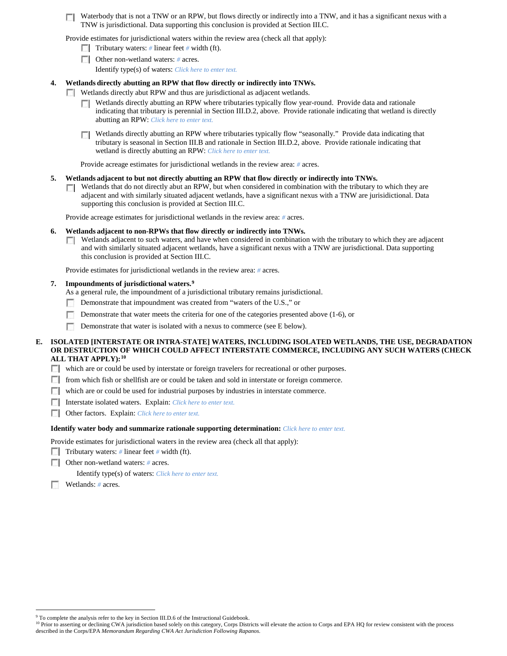Waterbody that is not a TNW or an RPW, but flows directly or indirectly into a TNW, and it has a significant nexus with a TNW is jurisdictional. Data supporting this conclusion is provided at Section III.C.

Provide estimates for jurisdictional waters within the review area (check all that apply):

- **Tributary waters:** # linear feet # width (ft).
- Other non-wetland waters: *#* acres.

Identify type(s) of waters: *Click here to enter text.*

#### **4. Wetlands directly abutting an RPW that flow directly or indirectly into TNWs.**

- Wetlands directly abut RPW and thus are jurisdictional as adjacent wetlands.
	- Wetlands directly abutting an RPW where tributaries typically flow year-round. Provide data and rationale **TT** indicating that tributary is perennial in Section III.D.2, above. Provide rationale indicating that wetland is directly abutting an RPW: *Click here to enter text.*
	- Wetlands directly abutting an RPW where tributaries typically flow "seasonally." Provide data indicating that tributary is seasonal in Section III.B and rationale in Section III.D.2, above. Provide rationale indicating that wetland is directly abutting an RPW: *Click here to enter text.*

Provide acreage estimates for jurisdictional wetlands in the review area: *#* acres.

#### **5. Wetlands adjacent to but not directly abutting an RPW that flow directly or indirectly into TNWs.**

Wetlands that do not directly abut an RPW, but when considered in combination with the tributary to which they are Г. adjacent and with similarly situated adjacent wetlands, have a significant nexus with a TNW are jurisidictional. Data supporting this conclusion is provided at Section III.C.

Provide acreage estimates for jurisdictional wetlands in the review area: *#* acres.

#### **6. Wetlands adjacent to non-RPWs that flow directly or indirectly into TNWs.**

 $\Box$  Wetlands adjacent to such waters, and have when considered in combination with the tributary to which they are adjacent and with similarly situated adjacent wetlands, have a significant nexus with a TNW are jurisdictional. Data supporting this conclusion is provided at Section III.C.

Provide estimates for jurisdictional wetlands in the review area: *#* acres.

#### **7. Impoundments of jurisdictional waters. [9](#page-5-0)**

As a general rule, the impoundment of a jurisdictional tributary remains jurisdictional.

- Demonstrate that impoundment was created from "waters of the U.S.," or **I**
- m Demonstrate that water meets the criteria for one of the categories presented above (1-6), or
- m. Demonstrate that water is isolated with a nexus to commerce (see E below).

## **E. ISOLATED [INTERSTATE OR INTRA-STATE] WATERS, INCLUDING ISOLATED WETLANDS, THE USE, DEGRADATION OR DESTRUCTION OF WHICH COULD AFFECT INTERSTATE COMMERCE, INCLUDING ANY SUCH WATERS (CHECK ALL THAT APPLY):[10](#page-5-1)**

- which are or could be used by interstate or foreign travelers for recreational or other purposes.
- from which fish or shellfish are or could be taken and sold in interstate or foreign commerce.
- which are or could be used for industrial purposes by industries in interstate commerce.
- Interstate isolated waters.Explain: *Click here to enter text.*
- Other factors.Explain: *Click here to enter text.*

## **Identify water body and summarize rationale supporting determination:** *Click here to enter text.*

Provide estimates for jurisdictional waters in the review area (check all that apply):

- Tributary waters: # linear feet # width (ft).
- Other non-wetland waters: *#* acres.

Identify type(s) of waters: *Click here to enter text.*

Wetlands: # acres.

<sup>&</sup>lt;sup>9</sup> To complete the analysis refer to the key in Section III.D.6 of the Instructional Guidebook.

<span id="page-5-1"></span><span id="page-5-0"></span><sup>&</sup>lt;sup>10</sup> Prior to asserting or declining CWA jurisdiction based solely on this category, Corps Districts will elevate the action to Corps and EPA HQ for review consistent with the process described in the Corps/EPA *Memorandum Regarding CWA Act Jurisdiction Following Rapanos.*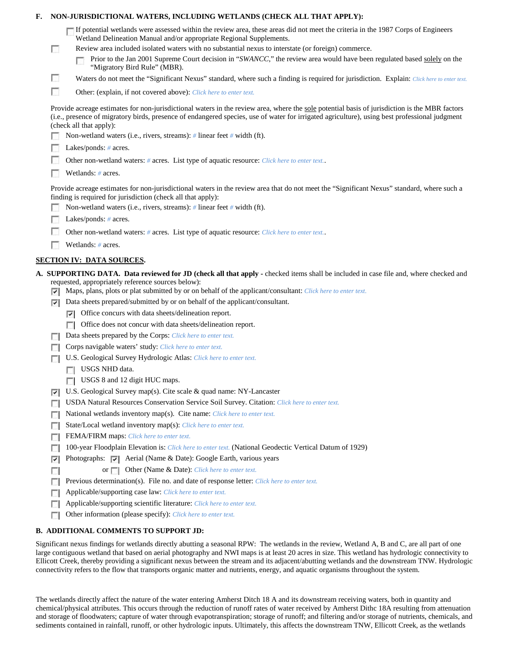| NON-JURISDICTIONAL WATERS, INCLUDING WETLANDS (CHECK ALL THAT APPLY):<br>F.                                                                                                                                                                                                                                                                                                                                                                    |
|------------------------------------------------------------------------------------------------------------------------------------------------------------------------------------------------------------------------------------------------------------------------------------------------------------------------------------------------------------------------------------------------------------------------------------------------|
| If potential wetlands were assessed within the review area, these areas did not meet the criteria in the 1987 Corps of Engineers<br>Wetland Delineation Manual and/or appropriate Regional Supplements.<br>Review area included isolated waters with no substantial nexus to interstate (or foreign) commerce.<br>г<br>Prior to the Jan 2001 Supreme Court decision in "SWANCC," the review area would have been regulated based solely on the |
| "Migratory Bird Rule" (MBR).                                                                                                                                                                                                                                                                                                                                                                                                                   |
| $\mathbb{R}^2$<br>Waters do not meet the "Significant Nexus" standard, where such a finding is required for jurisdiction. Explain: Click here to enter text.<br>г                                                                                                                                                                                                                                                                              |
| Other: (explain, if not covered above): Click here to enter text.                                                                                                                                                                                                                                                                                                                                                                              |
| Provide acreage estimates for non-jurisdictional waters in the review area, where the sole potential basis of jurisdiction is the MBR factors<br>(i.e., presence of migratory birds, presence of endangered species, use of water for irrigated agriculture), using best professional judgment<br>(check all that apply):<br>Non-wetland waters (i.e., rivers, streams): # linear feet # width (ft).                                           |
| Lakes/ponds: $# \, \text{acres.}$                                                                                                                                                                                                                                                                                                                                                                                                              |
| Other non-wetland waters: # acres. List type of aquatic resource: Click here to enter text                                                                                                                                                                                                                                                                                                                                                     |
| Wetlands: # acres.                                                                                                                                                                                                                                                                                                                                                                                                                             |
| Provide acreage estimates for non-jurisdictional waters in the review area that do not meet the "Significant Nexus" standard, where such a<br>finding is required for jurisdiction (check all that apply):<br>Non-wetland waters (i.e., rivers, streams): $\#$ linear feet $\#$ width (ft).                                                                                                                                                    |
| Lakes/ponds: $# \, \text{acres.}$                                                                                                                                                                                                                                                                                                                                                                                                              |
| Other non-wetland waters: # acres. List type of aquatic resource: Click here to enter text                                                                                                                                                                                                                                                                                                                                                     |
| Wetlands: # acres.                                                                                                                                                                                                                                                                                                                                                                                                                             |
| <b>SECTION IV: DATA SOURCES.</b>                                                                                                                                                                                                                                                                                                                                                                                                               |
| A. SUPPORTING DATA. Data reviewed for JD (check all that apply - checked items shall be included in case file and, where checked and<br>requested, appropriately reference sources below):<br>$\triangledown$ Maps, plans, plots or plat submitted by or on behalf of the applicant/consultant: Click here to enter text.                                                                                                                      |
| Data sheets prepared/submitted by or on behalf of the applicant/consultant.<br>⊽                                                                                                                                                                                                                                                                                                                                                               |
| $ \nabla $ Office concurs with data sheets/delineation report.                                                                                                                                                                                                                                                                                                                                                                                 |
| Office does not concur with data sheets/delineation report.<br>Data sheets prepared by the Corps: Click here to enter text.                                                                                                                                                                                                                                                                                                                    |
| $\sim$<br>Corps navigable waters' study: Click here to enter text.                                                                                                                                                                                                                                                                                                                                                                             |
| U.S. Geological Survey Hydrologic Atlas: Click here to enter text.                                                                                                                                                                                                                                                                                                                                                                             |
| USGS NHD data.                                                                                                                                                                                                                                                                                                                                                                                                                                 |
| <b>USGS 8</b> and 12 digit HUC maps.                                                                                                                                                                                                                                                                                                                                                                                                           |
| U.S. Geological Survey map(s). Cite scale & quad name: NY-Lancaster<br>V.                                                                                                                                                                                                                                                                                                                                                                      |
| USDA Natural Resources Conservation Service Soil Survey. Citation: Click here to enter text.<br><b>Di</b>                                                                                                                                                                                                                                                                                                                                      |
| National wetlands inventory map(s). Cite name: Click here to enter text.<br>г                                                                                                                                                                                                                                                                                                                                                                  |
| <b>State/Local wetland inventory map(s):</b> Click here to enter text.<br>п                                                                                                                                                                                                                                                                                                                                                                    |
| FEMA/FIRM maps: Click here to enter text.<br>$\sim$                                                                                                                                                                                                                                                                                                                                                                                            |
| 100-year Floodplain Elevation is: Click here to enter text. (National Geodectic Vertical Datum of 1929)<br>L.                                                                                                                                                                                                                                                                                                                                  |
| Photographs: $\triangledown$ Aerial (Name & Date): Google Earth, various years<br>⊽                                                                                                                                                                                                                                                                                                                                                            |
| or <b>Other</b> (Name & Date): Click here to enter text.<br><b>College</b>                                                                                                                                                                                                                                                                                                                                                                     |
| Previous determination(s). File no. and date of response letter: Click here to enter text.<br>п<br>Applicable/supporting case law: Click here to enter text.<br>n                                                                                                                                                                                                                                                                              |
| Applicable/supporting scientific literature: Click here to enter text.<br>г                                                                                                                                                                                                                                                                                                                                                                    |
| Other information (please specify): Click here to enter text.<br>г                                                                                                                                                                                                                                                                                                                                                                             |
| <b>B. ADDITIONAL COMMENTS TO SUPPORT JD:</b>                                                                                                                                                                                                                                                                                                                                                                                                   |
| Significant nexus findings for wetlands directly abutting a seasonal RPW. The wetlands in the review Wetland A, B and C, are all part of one                                                                                                                                                                                                                                                                                                   |

Significant nexus findings for wetlands directly abutting a seasonal RPW: The wetlands in the review, Wetland A, B and C, are all part of one large contiguous wetland that based on aerial photography and NWI maps is at least 20 acres in size. This wetland has hydrologic connectivity to Ellicott Creek, thereby providing a significant nexus between the stream and its adjacent/abutting wetlands and the downstream TNW. Hydrologic connectivity refers to the flow that transports organic matter and nutrients, energy, and aquatic organisms throughout the system.

The wetlands directly affect the nature of the water entering Amherst Ditch 18 A and its downstream receiving waters, both in quantity and chemical/physical attributes. This occurs through the reduction of runoff rates of water received by Amherst Dithc 18A resulting from attenuation and storage of floodwaters; capture of water through evapotranspiration; storage of runoff; and filtering and/or storage of nutrients, chemicals, and sediments contained in rainfall, runoff, or other hydrologic inputs. Ultimately, this affects the downstream TNW, Ellicott Creek, as the wetlands